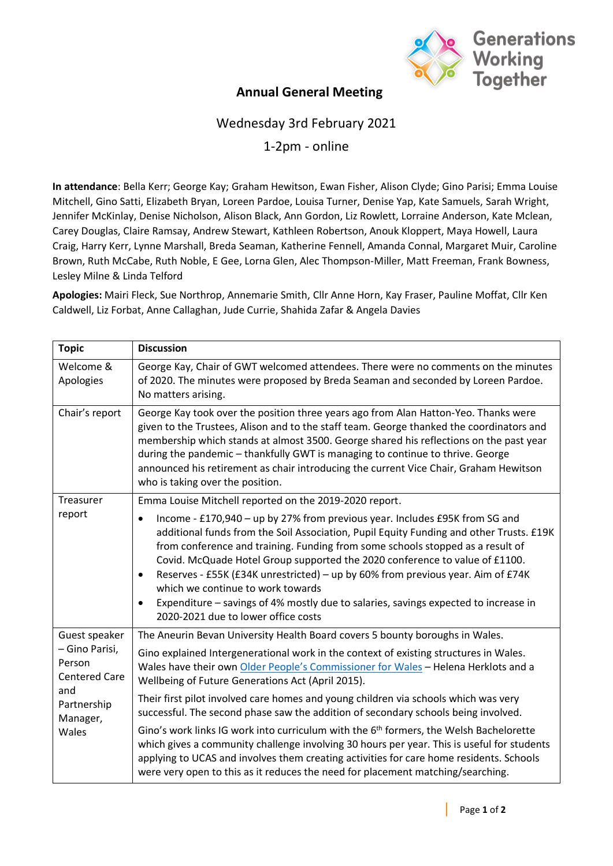

## **Annual General Meeting**

## Wednesday 3rd February 2021

1-2pm - online

**In attendance**: Bella Kerr; George Kay; Graham Hewitson, Ewan Fisher, Alison Clyde; Gino Parisi; Emma Louise Mitchell, Gino Satti, Elizabeth Bryan, Loreen Pardoe, Louisa Turner, Denise Yap, Kate Samuels, Sarah Wright, Jennifer McKinlay, Denise Nicholson, Alison Black, Ann Gordon, Liz Rowlett, Lorraine Anderson, Kate Mclean, Carey Douglas, Claire Ramsay, Andrew Stewart, Kathleen Robertson, Anouk Kloppert, Maya Howell, Laura Craig, Harry Kerr, Lynne Marshall, Breda Seaman, Katherine Fennell, Amanda Connal, Margaret Muir, Caroline Brown, Ruth McCabe, Ruth Noble, E Gee, Lorna Glen, Alec Thompson-Miller, Matt Freeman, Frank Bowness, Lesley Milne & Linda Telford

**Apologies:** Mairi Fleck, Sue Northrop, Annemarie Smith, Cllr Anne Horn, Kay Fraser, Pauline Moffat, Cllr Ken Caldwell, Liz Forbat, Anne Callaghan, Jude Currie, Shahida Zafar & Angela Davies

| <b>Topic</b>                                                                                                 | <b>Discussion</b>                                                                                                                                                                                                                                                                                                                                                                                                                                                                                                                                                                                          |
|--------------------------------------------------------------------------------------------------------------|------------------------------------------------------------------------------------------------------------------------------------------------------------------------------------------------------------------------------------------------------------------------------------------------------------------------------------------------------------------------------------------------------------------------------------------------------------------------------------------------------------------------------------------------------------------------------------------------------------|
| Welcome &<br>Apologies                                                                                       | George Kay, Chair of GWT welcomed attendees. There were no comments on the minutes<br>of 2020. The minutes were proposed by Breda Seaman and seconded by Loreen Pardoe.<br>No matters arising.                                                                                                                                                                                                                                                                                                                                                                                                             |
| Chair's report                                                                                               | George Kay took over the position three years ago from Alan Hatton-Yeo. Thanks were<br>given to the Trustees, Alison and to the staff team. George thanked the coordinators and<br>membership which stands at almost 3500. George shared his reflections on the past year<br>during the pandemic - thankfully GWT is managing to continue to thrive. George<br>announced his retirement as chair introducing the current Vice Chair, Graham Hewitson<br>who is taking over the position.                                                                                                                   |
| Treasurer<br>report                                                                                          | Emma Louise Mitchell reported on the 2019-2020 report.                                                                                                                                                                                                                                                                                                                                                                                                                                                                                                                                                     |
|                                                                                                              | Income - £170,940 - up by 27% from previous year. Includes £95K from SG and<br>additional funds from the Soil Association, Pupil Equity Funding and other Trusts. £19K<br>from conference and training. Funding from some schools stopped as a result of<br>Covid. McQuade Hotel Group supported the 2020 conference to value of £1100.<br>Reserves - £55K (£34K unrestricted) - up by 60% from previous year. Aim of £74K<br>$\bullet$<br>which we continue to work towards<br>Expenditure - savings of 4% mostly due to salaries, savings expected to increase in<br>2020-2021 due to lower office costs |
| Guest speaker<br>- Gino Parisi,<br>Person<br><b>Centered Care</b><br>and<br>Partnership<br>Manager,<br>Wales | The Aneurin Bevan University Health Board covers 5 bounty boroughs in Wales.                                                                                                                                                                                                                                                                                                                                                                                                                                                                                                                               |
|                                                                                                              | Gino explained Intergenerational work in the context of existing structures in Wales.<br>Wales have their own Older People's Commissioner for Wales - Helena Herklots and a<br>Wellbeing of Future Generations Act (April 2015).                                                                                                                                                                                                                                                                                                                                                                           |
|                                                                                                              | Their first pilot involved care homes and young children via schools which was very<br>successful. The second phase saw the addition of secondary schools being involved.                                                                                                                                                                                                                                                                                                                                                                                                                                  |
|                                                                                                              | Gino's work links IG work into curriculum with the 6 <sup>th</sup> formers, the Welsh Bachelorette<br>which gives a community challenge involving 30 hours per year. This is useful for students<br>applying to UCAS and involves them creating activities for care home residents. Schools<br>were very open to this as it reduces the need for placement matching/searching.                                                                                                                                                                                                                             |